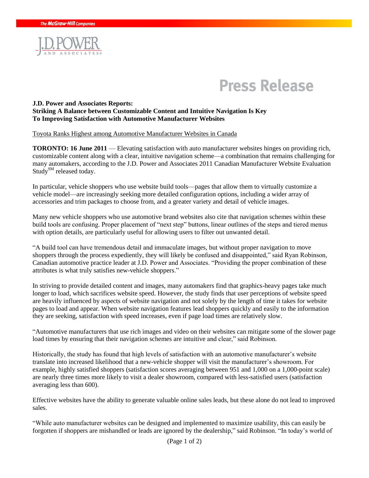

# **Press Release**

#### **J.D. Power and Associates Reports: Striking A Balance between Customizable Content and Intuitive Navigation Is Key To Improving Satisfaction with Automotive Manufacturer Websites**

Toyota Ranks Highest among Automotive Manufacturer Websites in Canada

**TORONTO: 16 June 2011** — Elevating satisfaction with auto manufacturer websites hinges on providing rich, customizable content along with a clear, intuitive navigation scheme—a combination that remains challenging for many automakers, according to the J.D. Power and Associates 2011 Canadian Manufacturer Website Evaluation Study<sup>SM</sup> released today.

In particular, vehicle shoppers who use website build tools—pages that allow them to virtually customize a vehicle model—are increasingly seeking more detailed configuration options, including a wider array of accessories and trim packages to choose from, and a greater variety and detail of vehicle images.

Many new vehicle shoppers who use automotive brand websites also cite that navigation schemes within these build tools are confusing. Proper placement of "next step" buttons, linear outlines of the steps and tiered menus with option details, are particularly useful for allowing users to filter out unwanted detail.

"A build tool can have tremendous detail and immaculate images, but without proper navigation to move shoppers through the process expediently, they will likely be confused and disappointed," said Ryan Robinson, Canadian automotive practice leader at J.D. Power and Associates. "Providing the proper combination of these attributes is what truly satisfies new-vehicle shoppers."

In striving to provide detailed content and images, many automakers find that graphics-heavy pages take much longer to load, which sacrifices website speed. However, the study finds that user perceptions of website speed are heavily influenced by aspects of website navigation and not solely by the length of time it takes for website pages to load and appear. When website navigation features lead shoppers quickly and easily to the information they are seeking, satisfaction with speed increases, even if page load times are relatively slow.

"Automotive manufacturers that use rich images and video on their websites can mitigate some of the slower page load times by ensuring that their navigation schemes are intuitive and clear," said Robinson.

Historically, the study has found that high levels of satisfaction with an automotive manufacturer's website translate into increased likelihood that a new-vehicle shopper will visit the manufacturer's showroom. For example, highly satisfied shoppers (satisfaction scores averaging between 951 and 1,000 on a 1,000-point scale) are nearly three times more likely to visit a dealer showroom, compared with less-satisfied users (satisfaction averaging less than 600).

Effective websites have the ability to generate valuable online sales leads, but these alone do not lead to improved sales.

"While auto manufacturer websites can be designed and implemented to maximize usability, this can easily be forgotten if shoppers are mishandled or leads are ignored by the dealership," said Robinson. "In today's world of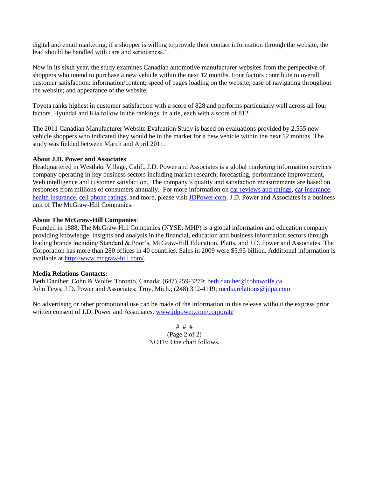digital and email marketing, if a shopper is willing to provide their contact information through the website, the lead should be handled with care and seriousness."

Now in its sixth year, the study examines Canadian automotive manufacturer websites from the perspective of shoppers who intend to purchase a new vehicle within the next 12 months. Four factors contribute to overall customer satisfaction: information/content; speed of pages loading on the website; ease of navigating throughout the website; and appearance of the website.

Toyota ranks highest in customer satisfaction with a score of 828 and performs particularly well across all four factors. Hyundai and Kia follow in the rankings, in a tie, each with a score of 812.

The 2011 Canadian Manufacturer Website Evaluation Study is based on evaluations provided by 2,555 newvehicle shoppers who indicated they would be in the market for a new vehicle within the next 12 months. The study was fielded between March and April 2011.

#### **About J.D. Power and Associates**

Headquartered in Westlake Village, Calif., J.D. Power and Associates is a global marketing information services company operating in key business sectors including market research, forecasting, performance improvement, Web intelligence and customer satisfaction. The company's quality and satisfaction measurements are based on responses from millions of consumers annually. For more information on [car reviews and ratings,](http://www.jdpower.com/auto/browse.aspx) [car insurance,](http://www.jdpower.com/autos/ratings/autos-insurance) [health insurance,](http://www.jdpower.com/healthcare/) [cell phone ratings,](http://www.jdpower.com/telecom/ratings/wireless/index.asp) and more, please visi[t JDPower.com.](http://www.jdpower.com/) J.D. Power and Associates is a business unit of The McGraw-Hill Companies.

#### **About The McGraw-Hill Companies**:

Founded in 1888, The McGraw-Hill Companies (NYSE: MHP) is a global information and education company providing knowledge, insights and analysis in the financial, education and business information sectors through leading brands including Standard & Poor's, McGraw-Hill Education, Platts, and J.D. Power and Associates. The Corporation has more than 280 offices in 40 countries. Sales in 2009 were \$5.95 billion. Additional information is available at [http://www.mcgraw-hill.com/.](http://www.mcgraw-hill.com/)

#### **Media Relations Contacts:**

Beth Daniher; Cohn & Wolfe; Toronto, Canada; (647) 259-3279; [beth.daniher@cohnwolfe.ca](mailto:beth.daniher@cohnwolfe.ca) John Tews; J.D. Power and Associates; Troy, Mich.; (248) 312-4119; [media.relations@jdpa.com](mailto:media.relations@jdpa.com)

No advertising or other promotional use can be made of the information in this release without the express prior written consent of J.D. Power and Associates. [www.jdpower.com/corporate](http://www.jdpower.com/corporate)

> # # # (Page 2 of 2) NOTE: One chart follows.